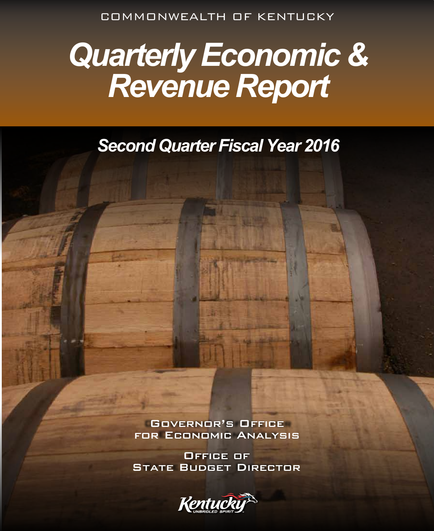COMMONWEALTH OF KENTUCKY

# *Quarterly Economic & Revenue Report*

# *Second Quarter Fiscal Year 2016*

Governor's Office for Economic Analysis

Office of **STATE BUDGET DIRECTOR** 

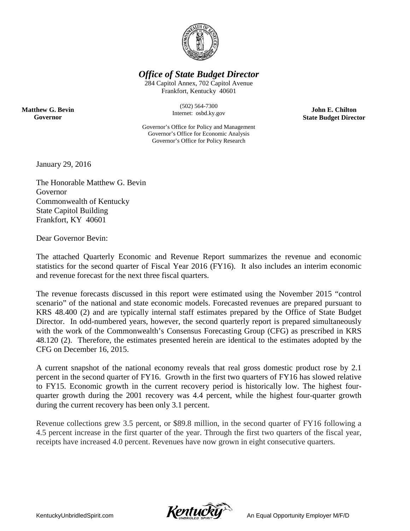

*Office of State Budget Director*

284 Capitol Annex, 702 Capitol Avenue Frankfort, Kentucky 40601

> (502) 564-7300 Internet: osbd.ky.gov

**John E. Chilton State Budget Director**

Governor's Office for Policy and Management Governor's Office for Economic Analysis Governor's Office for Policy Research

January 29, 2016

**Matthew G. Bevin Governor**

> The Honorable Matthew G. Bevin Governor Commonwealth of Kentucky State Capitol Building Frankfort, KY 40601

Dear Governor Bevin:

The attached Quarterly Economic and Revenue Report summarizes the revenue and economic statistics for the second quarter of Fiscal Year 2016 (FY16). It also includes an interim economic and revenue forecast for the next three fiscal quarters.

The revenue forecasts discussed in this report were estimated using the November 2015 "control scenario" of the national and state economic models. Forecasted revenues are prepared pursuant to KRS 48.400 (2) and are typically internal staff estimates prepared by the Office of State Budget Director. In odd-numbered years, however, the second quarterly report is prepared simultaneously with the work of the Commonwealth's Consensus Forecasting Group (CFG) as prescribed in KRS 48.120 (2). Therefore, the estimates presented herein are identical to the estimates adopted by the CFG on December 16, 2015.

A current snapshot of the national economy reveals that real gross domestic product rose by 2.1 percent in the second quarter of FY16. Growth in the first two quarters of FY16 has slowed relative to FY15. Economic growth in the current recovery period is historically low. The highest fourquarter growth during the 2001 recovery was 4.4 percent, while the highest four-quarter growth during the current recovery has been only 3.1 percent.

Revenue collections grew 3.5 percent, or \$89.8 million, in the second quarter of FY16 following a 4.5 percent increase in the first quarter of the year. Through the first two quarters of the fiscal year, receipts have increased 4.0 percent. Revenues have now grown in eight consecutive quarters.

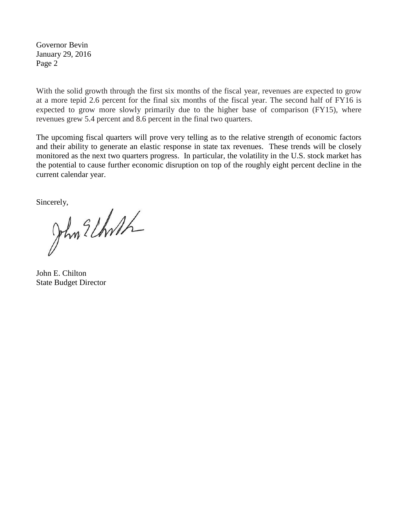Governor Bevin January 29, 2016 Page 2

With the solid growth through the first six months of the fiscal year, revenues are expected to grow at a more tepid 2.6 percent for the final six months of the fiscal year. The second half of FY16 is expected to grow more slowly primarily due to the higher base of comparison (FY15), where revenues grew 5.4 percent and 8.6 percent in the final two quarters.

The upcoming fiscal quarters will prove very telling as to the relative strength of economic factors and their ability to generate an elastic response in state tax revenues. These trends will be closely monitored as the next two quarters progress. In particular, the volatility in the U.S. stock market has the potential to cause further economic disruption on top of the roughly eight percent decline in the current calendar year.

Sincerely,<br>John Elhoth

John E. Chilton State Budget Director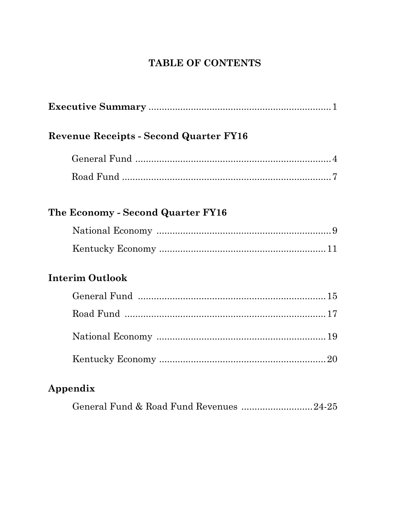# TABLE OF CONTENTS

| <b>Revenue Receipts - Second Quarter FY16</b> |
|-----------------------------------------------|
|                                               |
|                                               |
| The Economy - Second Quarter FY16             |
|                                               |
|                                               |
| <b>Interim Outlook</b>                        |
|                                               |
|                                               |
|                                               |
|                                               |
| Appendix                                      |
| General Fund & Road Fund Revenues 24-25       |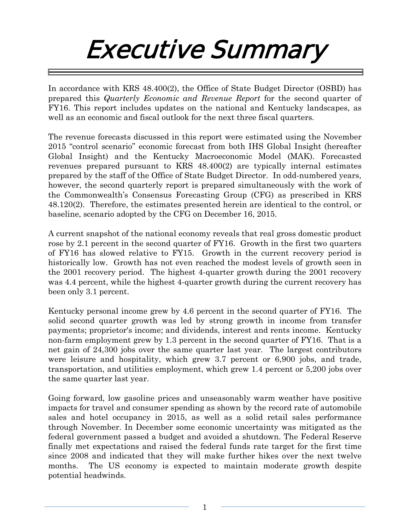# Executive Summary

In accordance with KRS 48.400(2), the Office of State Budget Director (OSBD) has prepared this *Quarterly Economic and Revenue Report* for the second quarter of FY16. This report includes updates on the national and Kentucky landscapes, as well as an economic and fiscal outlook for the next three fiscal quarters.

The revenue forecasts discussed in this report were estimated using the November 2015 "control scenario" economic forecast from both IHS Global Insight (hereafter Global Insight) and the Kentucky Macroeconomic Model (MAK). Forecasted revenues prepared pursuant to KRS 48.400(2) are typically internal estimates prepared by the staff of the Office of State Budget Director. In odd-numbered years, however, the second quarterly report is prepared simultaneously with the work of the Commonwealth's Consensus Forecasting Group (CFG) as prescribed in KRS 48.120(2). Therefore, the estimates presented herein are identical to the control, or baseline, scenario adopted by the CFG on December 16, 2015.

A current snapshot of the national economy reveals that real gross domestic product rose by 2.1 percent in the second quarter of FY16. Growth in the first two quarters of FY16 has slowed relative to FY15. Growth in the current recovery period is historically low. Growth has not even reached the modest levels of growth seen in the 2001 recovery period. The highest 4-quarter growth during the 2001 recovery was 4.4 percent, while the highest 4-quarter growth during the current recovery has been only 3.1 percent.

Kentucky personal income grew by 4.6 percent in the second quarter of FY16. The solid second quarter growth was led by strong growth in income from transfer payments; proprietor's income; and dividends, interest and rents income. Kentucky non-farm employment grew by 1.3 percent in the second quarter of FY16. That is a net gain of 24,300 jobs over the same quarter last year. The largest contributors were leisure and hospitality, which grew 3.7 percent or 6,900 jobs, and trade, transportation, and utilities employment, which grew 1.4 percent or 5,200 jobs over the same quarter last year.

Going forward, low gasoline prices and unseasonably warm weather have positive impacts for travel and consumer spending as shown by the record rate of automobile sales and hotel occupancy in 2015, as well as a solid retail sales performance through November. In December some economic uncertainty was mitigated as the federal government passed a budget and avoided a shutdown. The Federal Reserve finally met expectations and raised the federal funds rate target for the first time since 2008 and indicated that they will make further hikes over the next twelve months. The US economy is expected to maintain moderate growth despite potential headwinds.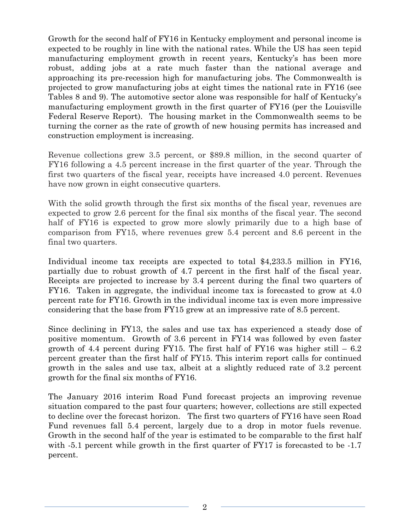Growth for the second half of FY16 in Kentucky employment and personal income is expected to be roughly in line with the national rates. While the US has seen tepid manufacturing employment growth in recent years, Kentucky's has been more robust, adding jobs at a rate much faster than the national average and approaching its pre-recession high for manufacturing jobs. The Commonwealth is projected to grow manufacturing jobs at eight times the national rate in FY16 (see Tables 8 and 9). The automotive sector alone was responsible for half of Kentucky's manufacturing employment growth in the first quarter of FY16 (per the Louisville Federal Reserve Report). The housing market in the Commonwealth seems to be turning the corner as the rate of growth of new housing permits has increased and construction employment is increasing.

Revenue collections grew 3.5 percent, or \$89.8 million, in the second quarter of FY16 following a 4.5 percent increase in the first quarter of the year. Through the first two quarters of the fiscal year, receipts have increased 4.0 percent. Revenues have now grown in eight consecutive quarters.

With the solid growth through the first six months of the fiscal year, revenues are expected to grow 2.6 percent for the final six months of the fiscal year. The second half of FY16 is expected to grow more slowly primarily due to a high base of comparison from FY15, where revenues grew 5.4 percent and 8.6 percent in the final two quarters.

Individual income tax receipts are expected to total \$4,233.5 million in FY16, partially due to robust growth of 4.7 percent in the first half of the fiscal year. Receipts are projected to increase by 3.4 percent during the final two quarters of FY16. Taken in aggregate, the individual income tax is forecasted to grow at 4.0 percent rate for FY16. Growth in the individual income tax is even more impressive considering that the base from FY15 grew at an impressive rate of 8.5 percent.

Since declining in FY13, the sales and use tax has experienced a steady dose of positive momentum. Growth of 3.6 percent in FY14 was followed by even faster growth of 4.4 percent during FY15. The first half of FY16 was higher still  $-6.2$ percent greater than the first half of FY15. This interim report calls for continued growth in the sales and use tax, albeit at a slightly reduced rate of 3.2 percent growth for the final six months of FY16.

The January 2016 interim Road Fund forecast projects an improving revenue situation compared to the past four quarters; however, collections are still expected to decline over the forecast horizon. The first two quarters of FY16 have seen Road Fund revenues fall 5.4 percent, largely due to a drop in motor fuels revenue. Growth in the second half of the year is estimated to be comparable to the first half with  $-5.1$  percent while growth in the first quarter of FY17 is forecasted to be  $-1.7$ percent.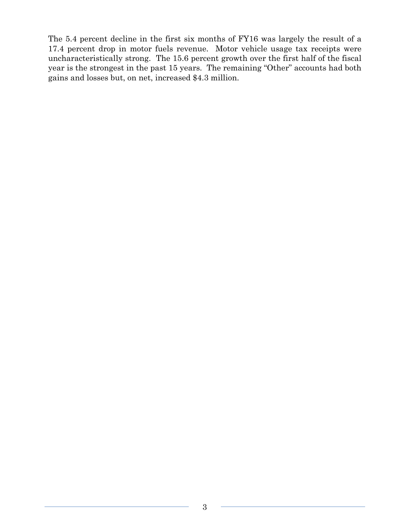The 5.4 percent decline in the first six months of FY16 was largely the result of a 17.4 percent drop in motor fuels revenue. Motor vehicle usage tax receipts were uncharacteristically strong. The 15.6 percent growth over the first half of the fiscal year is the strongest in the past 15 years. The remaining "Other" accounts had both gains and losses but, on net, increased \$4.3 million.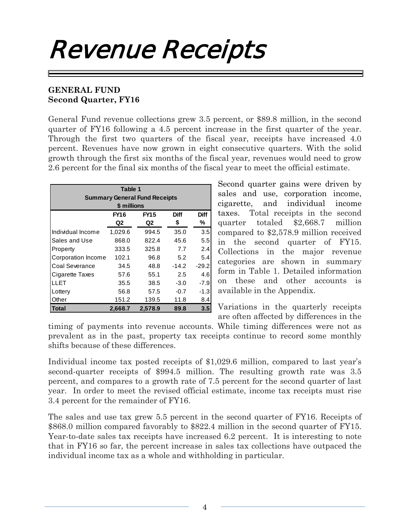# Revenue Receipts

### **GENERAL FUND Second Quarter, FY16**

General Fund revenue collections grew 3.5 percent, or \$89.8 million, in the second quarter of FY16 following a 4.5 percent increase in the first quarter of the year. Through the first two quarters of the fiscal year, receipts have increased 4.0 percent. Revenues have now grown in eight consecutive quarters. With the solid growth through the first six months of the fiscal year, revenues would need to grow 2.6 percent for the final six months of the fiscal year to meet the official estimate.

| Table 1<br><b>Summary General Fund Receipts</b><br>\$ millions |         |         |         |         |  |  |  |  |  |  |  |
|----------------------------------------------------------------|---------|---------|---------|---------|--|--|--|--|--|--|--|
| Diff<br><b>Diff</b><br><b>FY16</b><br><b>FY15</b>              |         |         |         |         |  |  |  |  |  |  |  |
|                                                                | Q2      | Q2      | \$      | ℅       |  |  |  |  |  |  |  |
| Individual Income                                              | 1,029.6 | 994.5   | 35.0    | 3.5     |  |  |  |  |  |  |  |
| Sales and Use                                                  | 868.0   | 822.4   | 45.6    | 5.5     |  |  |  |  |  |  |  |
| Property                                                       | 333.5   | 325.8   | 7.7     | 2.4     |  |  |  |  |  |  |  |
| Corporation Income                                             | 102.1   | 96.8    | 5.2     | 5.4     |  |  |  |  |  |  |  |
| Coal Severance                                                 | 34.5    | 48.8    | $-14.2$ | $-29.2$ |  |  |  |  |  |  |  |
| Cigarette Taxes                                                | 57.6    | 55.1    | 2.5     | 4.6     |  |  |  |  |  |  |  |
| LI FT                                                          | 35.5    | 38.5    | $-3.0$  | $-7.9$  |  |  |  |  |  |  |  |
| Lottery                                                        | 56.8    | 57.5    | $-0.7$  | -1.3    |  |  |  |  |  |  |  |
| Other                                                          | 151.2   | 139.5   | 11.8    | 8.4     |  |  |  |  |  |  |  |
| Total                                                          | 2,668.7 | 2,578.9 | 89.8    | 3.5     |  |  |  |  |  |  |  |

Second quarter gains were driven by sales and use, corporation income, cigarette, and individual income taxes. Total receipts in the second quarter totaled \$2,668.7 million compared to \$2,578.9 million received in the second quarter of FY15. Collections in the major revenue categories are shown in summary form in Table 1. Detailed information on these and other accounts is available in the Appendix.

Variations in the quarterly receipts are often affected by differences in the

timing of payments into revenue accounts. While timing differences were not as prevalent as in the past, property tax receipts continue to record some monthly shifts because of these differences.

Individual income tax posted receipts of \$1,029.6 million, compared to last year's second-quarter receipts of \$994.5 million. The resulting growth rate was 3.5 percent, and compares to a growth rate of 7.5 percent for the second quarter of last year. In order to meet the revised official estimate, income tax receipts must rise 3.4 percent for the remainder of FY16.

The sales and use tax grew 5.5 percent in the second quarter of FY16. Receipts of \$868.0 million compared favorably to \$822.4 million in the second quarter of FY15. Year-to-date sales tax receipts have increased 6.2 percent. It is interesting to note that in FY16 so far, the percent increase in sales tax collections have outpaced the individual income tax as a whole and withholding in particular.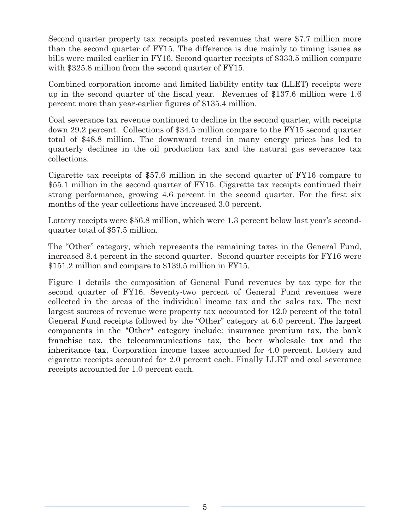Second quarter property tax receipts posted revenues that were \$7.7 million more than the second quarter of FY15. The difference is due mainly to timing issues as bills were mailed earlier in FY16. Second quarter receipts of \$333.5 million compare with \$325.8 million from the second quarter of FY15.

Combined corporation income and limited liability entity tax (LLET) receipts were up in the second quarter of the fiscal year. Revenues of \$137.6 million were 1.6 percent more than year-earlier figures of \$135.4 million.

Coal severance tax revenue continued to decline in the second quarter, with receipts down 29.2 percent. Collections of \$34.5 million compare to the FY15 second quarter total of \$48.8 million. The downward trend in many energy prices has led to quarterly declines in the oil production tax and the natural gas severance tax collections.

Cigarette tax receipts of \$57.6 million in the second quarter of FY16 compare to \$55.1 million in the second quarter of FY15. Cigarette tax receipts continued their strong performance, growing 4.6 percent in the second quarter. For the first six months of the year collections have increased 3.0 percent.

Lottery receipts were \$56.8 million, which were 1.3 percent below last year's secondquarter total of \$57.5 million.

The "Other" category, which represents the remaining taxes in the General Fund, increased 8.4 percent in the second quarter. Second quarter receipts for FY16 were \$151.2 million and compare to \$139.5 million in FY15.

Figure 1 details the composition of General Fund revenues by tax type for the second quarter of FY16. Seventy-two percent of General Fund revenues were collected in the areas of the individual income tax and the sales tax. The next largest sources of revenue were property tax accounted for 12.0 percent of the total General Fund receipts followed by the "Other" category at 6.0 percent. The largest components in the "Other" category include: insurance premium tax, the bank franchise tax, the telecommunications tax, the beer wholesale tax and the inheritance tax. Corporation income taxes accounted for 4.0 percent. Lottery and cigarette receipts accounted for 2.0 percent each. Finally LLET and coal severance receipts accounted for 1.0 percent each.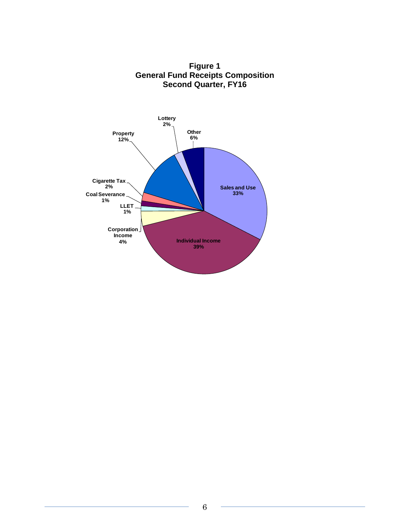

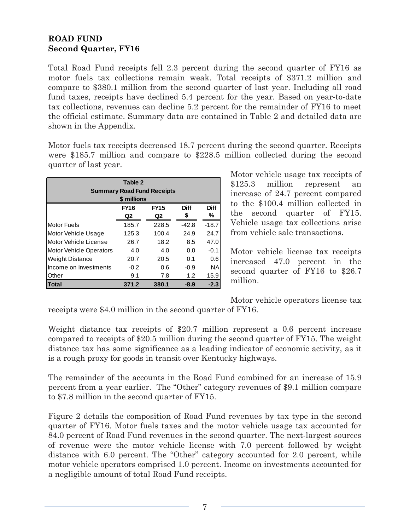## **ROAD FUND Second Quarter, FY16**

Total Road Fund receipts fell 2.3 percent during the second quarter of FY16 as motor fuels tax collections remain weak. Total receipts of \$371.2 million and compare to \$380.1 million from the second quarter of last year. Including all road fund taxes, receipts have declined 5.4 percent for the year. Based on year-to-date tax collections, revenues can decline 5.2 percent for the remainder of FY16 to meet the official estimate. Summary data are contained in Table 2 and detailed data are shown in the Appendix.

Motor fuels tax receipts decreased 18.7 percent during the second quarter. Receipts were \$185.7 million and compare to \$228.5 million collected during the second quarter of last year.

| Table 2<br><b>Summary Road Fund Receipts</b><br>\$ millions |        |       |         |           |  |  |  |  |  |  |
|-------------------------------------------------------------|--------|-------|---------|-----------|--|--|--|--|--|--|
| <b>Diff</b><br><b>FY15</b><br><b>Diff</b><br><b>FY16</b>    |        |       |         |           |  |  |  |  |  |  |
|                                                             | Q2     | Q2    | \$      | ℅         |  |  |  |  |  |  |
| <b>Motor Fuels</b>                                          | 185.7  | 228.5 | $-42.8$ | $-18.7$   |  |  |  |  |  |  |
| Motor Vehicle Usage                                         | 125.3  | 100.4 | 24.9    | 24.7      |  |  |  |  |  |  |
| Motor Vehicle License                                       | 26.7   | 18.2  | 8.5     | 47.0      |  |  |  |  |  |  |
| <b>Motor Vehicle Operators</b>                              | 4.0    | 4.0   | 0.0     | $-0.1$    |  |  |  |  |  |  |
| <b>Weight Distance</b>                                      | 20.7   | 20.5  | 0.1     | 0.6       |  |  |  |  |  |  |
| Income on Investments                                       | $-0.2$ | 0.6   | $-0.9$  | <b>NA</b> |  |  |  |  |  |  |
| Other                                                       | 9.1    | 7.8   | 1.2     | 15.9      |  |  |  |  |  |  |
| Total                                                       | 371.2  | 380.1 | $-8.9$  | $-2.3$    |  |  |  |  |  |  |

Motor vehicle usage tax receipts of \$125.3 million represent an increase of 24.7 percent compared to the \$100.4 million collected in the second quarter of FY15. Vehicle usage tax collections arise from vehicle sale transactions.

Motor vehicle license tax receipts increased 47.0 percent in the second quarter of FY16 to \$26.7 million.

Motor vehicle operators license tax

receipts were \$4.0 million in the second quarter of FY16.

Weight distance tax receipts of \$20.7 million represent a 0.6 percent increase compared to receipts of \$20.5 million during the second quarter of FY15. The weight distance tax has some significance as a leading indicator of economic activity, as it is a rough proxy for goods in transit over Kentucky highways.

The remainder of the accounts in the Road Fund combined for an increase of 15.9 percent from a year earlier. The "Other" category revenues of \$9.1 million compare to \$7.8 million in the second quarter of FY15.

Figure 2 details the composition of Road Fund revenues by tax type in the second quarter of FY16. Motor fuels taxes and the motor vehicle usage tax accounted for 84.0 percent of Road Fund revenues in the second quarter. The next-largest sources of revenue were the motor vehicle license with 7.0 percent followed by weight distance with 6.0 percent. The "Other" category accounted for 2.0 percent, while motor vehicle operators comprised 1.0 percent. Income on investments accounted for a negligible amount of total Road Fund receipts.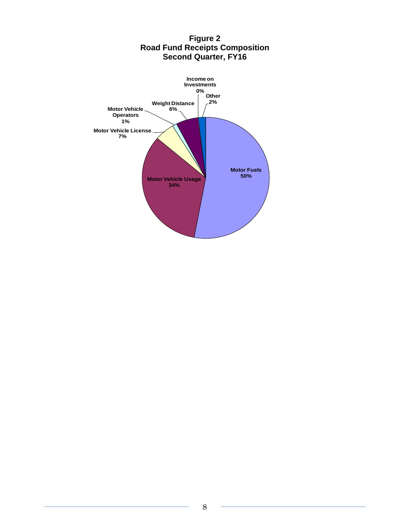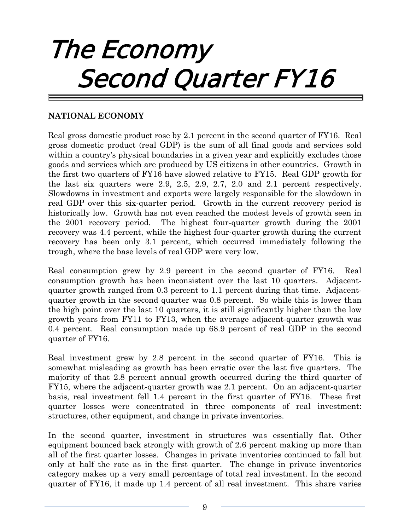# The Economy Second Quarter FY16

# **NATIONAL ECONOMY**

Real gross domestic product rose by 2.1 percent in the second quarter of FY16. Real gross domestic product (real GDP) is the sum of all final goods and services sold within a country's physical boundaries in a given year and explicitly excludes those goods and services which are produced by US citizens in other countries. Growth in the first two quarters of FY16 have slowed relative to FY15. Real GDP growth for the last six quarters were 2.9, 2.5, 2.9, 2.7, 2.0 and 2.1 percent respectively. Slowdowns in investment and exports were largely responsible for the slowdown in real GDP over this six-quarter period. Growth in the current recovery period is historically low. Growth has not even reached the modest levels of growth seen in the 2001 recovery period. The highest four-quarter growth during the 2001 recovery was 4.4 percent, while the highest four-quarter growth during the current recovery has been only 3.1 percent, which occurred immediately following the trough, where the base levels of real GDP were very low.

Real consumption grew by 2.9 percent in the second quarter of FY16. Real consumption growth has been inconsistent over the last 10 quarters. Adjacentquarter growth ranged from 0.3 percent to 1.1 percent during that time. Adjacentquarter growth in the second quarter was 0.8 percent. So while this is lower than the high point over the last 10 quarters, it is still significantly higher than the low growth years from FY11 to FY13, when the average adjacent-quarter growth was 0.4 percent. Real consumption made up 68.9 percent of real GDP in the second quarter of FY16.

Real investment grew by 2.8 percent in the second quarter of FY16. This is somewhat misleading as growth has been erratic over the last five quarters. The majority of that 2.8 percent annual growth occurred during the third quarter of FY15, where the adjacent-quarter growth was 2.1 percent. On an adjacent-quarter basis, real investment fell 1.4 percent in the first quarter of FY16. These first quarter losses were concentrated in three components of real investment: structures, other equipment, and change in private inventories.

In the second quarter, investment in structures was essentially flat. Other equipment bounced back strongly with growth of 2.6 percent making up more than all of the first quarter losses. Changes in private inventories continued to fall but only at half the rate as in the first quarter. The change in private inventories category makes up a very small percentage of total real investment. In the second quarter of FY16, it made up 1.4 percent of all real investment. This share varies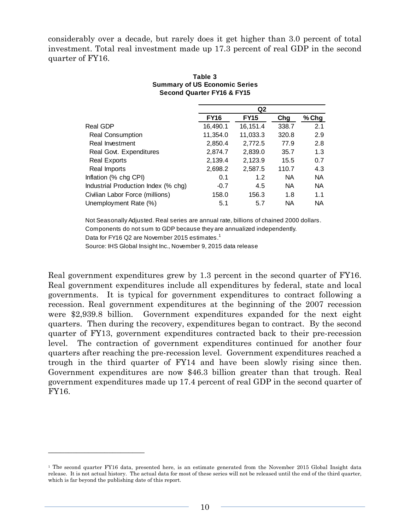considerably over a decade, but rarely does it get higher than 3.0 percent of total investment. Total real investment made up 17.3 percent of real GDP in the second quarter of FY16.

|                                     | Q <sub>2</sub> |             |           |           |  |
|-------------------------------------|----------------|-------------|-----------|-----------|--|
|                                     | <b>FY16</b>    | <b>FY15</b> | Chg       | % Chg     |  |
| Real GDP                            | 16,490.1       | 16,151.4    | 338.7     | 2.1       |  |
| <b>Real Consumption</b>             | 11,354.0       | 11,033.3    | 320.8     | 2.9       |  |
| Real Investment                     | 2,850.4        | 2,772.5     | 77.9      | 2.8       |  |
| Real Govt. Expenditures             | 2,874.7        | 2,839.0     | 35.7      | 1.3       |  |
| <b>Real Exports</b>                 | 2,139.4        | 2,123.9     | 15.5      | 0.7       |  |
| Real Imports                        | 2,698.2        | 2,587.5     | 110.7     | 4.3       |  |
| Inflation (% chg CPI)               | 0.1            | 1.2         | <b>NA</b> | <b>NA</b> |  |
| Industrial Production Index (% chg) | $-0.7$         | 4.5         | <b>NA</b> | <b>NA</b> |  |
| Civilian Labor Force (millions)     | 158.0          | 156.3       | 1.8       | 1.1       |  |
| Unemployment Rate (%)               | 5.1            | 5.7         | NA        | <b>NA</b> |  |

#### **Second Quarter FY16 & FY15 Table 3 Summary of US Economic Series**

Not Seasonally Adjusted. Real series are annual rate, billions of chained 2000 dollars. Components do not sum to GDP because they are annualized independently. Data for FY16 Q2 are November 2015 estimates.<sup>1</sup> Source: IHS Global Insight Inc., November 9, 2015 data release

Real government expenditures grew by 1.3 percent in the second quarter of FY16. Real government expenditures include all expenditures by federal, state and local governments. It is typical for government expenditures to contract following a recession. Real government expenditures at the beginning of the 2007 recession were \$2,939.8 billion. Government expenditures expanded for the next eight quarters. Then during the recovery, expenditures began to contract. By the second quarter of FY13, government expenditures contracted back to their pre-recession level. The contraction of government expenditures continued for another four quarters after reaching the pre-recession level. Government expenditures reached a trough in the third quarter of FY14 and have been slowly rising since then. Government expenditures are now \$46.3 billion greater than that trough. Real government expenditures made up 17.4 percent of real GDP in the second quarter of FY16.

<sup>1</sup> The second quarter FY16 data, presented here, is an estimate generated from the November 2015 Global Insight data release. It is not actual history. The actual data for most of these series will not be released until the end of the third quarter, which is far beyond the publishing date of this report.

 $\overline{\phantom{a}}$  , where  $\overline{\phantom{a}}$  , where  $\overline{\phantom{a}}$  , where  $\overline{\phantom{a}}$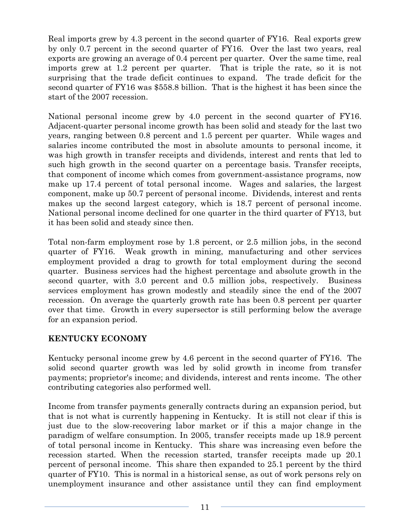Real imports grew by 4.3 percent in the second quarter of FY16. Real exports grew by only 0.7 percent in the second quarter of FY16. Over the last two years, real exports are growing an average of 0.4 percent per quarter. Over the same time, real imports grew at 1.2 percent per quarter. That is triple the rate, so it is not surprising that the trade deficit continues to expand. The trade deficit for the second quarter of FY16 was \$558.8 billion. That is the highest it has been since the start of the 2007 recession.

National personal income grew by 4.0 percent in the second quarter of FY16. Adjacent-quarter personal income growth has been solid and steady for the last two years, ranging between 0.8 percent and 1.5 percent per quarter. While wages and salaries income contributed the most in absolute amounts to personal income, it was high growth in transfer receipts and dividends, interest and rents that led to such high growth in the second quarter on a percentage basis. Transfer receipts, that component of income which comes from government-assistance programs, now make up 17.4 percent of total personal income. Wages and salaries, the largest component, make up 50.7 percent of personal income. Dividends, interest and rents makes up the second largest category, which is 18.7 percent of personal income. National personal income declined for one quarter in the third quarter of FY13, but it has been solid and steady since then.

Total non-farm employment rose by 1.8 percent, or 2.5 million jobs, in the second quarter of FY16. Weak growth in mining, manufacturing and other services employment provided a drag to growth for total employment during the second quarter. Business services had the highest percentage and absolute growth in the second quarter, with 3.0 percent and 0.5 million jobs, respectively. Business services employment has grown modestly and steadily since the end of the 2007 recession. On average the quarterly growth rate has been 0.8 percent per quarter over that time. Growth in every supersector is still performing below the average for an expansion period.

# **KENTUCKY ECONOMY**

Kentucky personal income grew by 4.6 percent in the second quarter of FY16. The solid second quarter growth was led by solid growth in income from transfer payments; proprietor's income; and dividends, interest and rents income. The other contributing categories also performed well.

Income from transfer payments generally contracts during an expansion period, but that is not what is currently happening in Kentucky. It is still not clear if this is just due to the slow-recovering labor market or if this a major change in the paradigm of welfare consumption. In 2005, transfer receipts made up 18.9 percent of total personal income in Kentucky. This share was increasing even before the recession started. When the recession started, transfer receipts made up 20.1 percent of personal income. This share then expanded to 25.1 percent by the third quarter of FY10. This is normal in a historical sense, as out of work persons rely on unemployment insurance and other assistance until they can find employment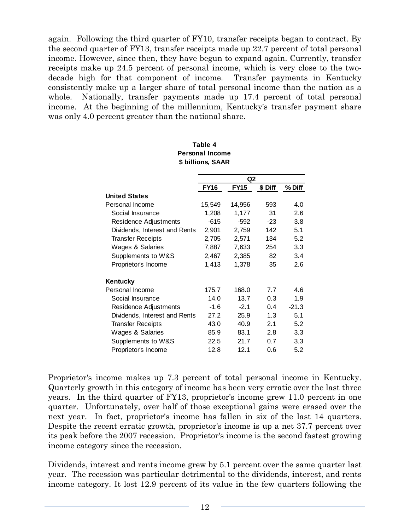again. Following the third quarter of FY10, transfer receipts began to contract. By the second quarter of FY13, transfer receipts made up 22.7 percent of total personal income. However, since then, they have begun to expand again. Currently, transfer receipts make up 24.5 percent of personal income, which is very close to the twodecade high for that component of income. Transfer payments in Kentucky consistently make up a larger share of total personal income than the nation as a whole. Nationally, transfer payments made up 17.4 percent of total personal income. At the beginning of the millennium, Kentucky's transfer payment share was only 4.0 percent greater than the national share.

|                               |             | Q2          |                  |         |
|-------------------------------|-------------|-------------|------------------|---------|
|                               | <b>FY16</b> | <b>FY15</b> | \$ Diff          | % Diff  |
| <b>United States</b>          |             |             |                  |         |
| Personal Income               | 15,549      | 14,956      | 593              | 4.0     |
| Social Insurance              | 1,208       | 1,177       | 31               | 2.6     |
| Residence Adjustments         | $-615$      | $-592$      | -23              | 3.8     |
| Dividends, Interest and Rents | 2,901       | 2,759       | 142              | 5.1     |
| <b>Transfer Receipts</b>      | 2,705       | 2,571       | 134              | 5.2     |
| Wages & Salaries              | 7,887       | 7,633       | 254              | 3.3     |
| Supplements to W&S            | 2,467       | 2,385       | 82               | 3.4     |
| Proprietor's Income           | 1,413       | 1,378       | 35               | 2.6     |
| Kentucky                      |             |             |                  |         |
| Personal Income               | 175.7       | 168.0       | 7.7              | 4.6     |
| Social Insurance              | 14.0        | 13.7        | 0.3 <sub>2</sub> | 1.9     |
| Residence Adjustments         | $-1.6$      | $-2.1$      | 0.4              | $-21.3$ |
| Dividends, Interest and Rents | 27.2        | 25.9        | 1.3              | 5.1     |
| <b>Transfer Receipts</b>      | 43.0        | 40.9        | 2.1              | 5.2     |
| Wages & Salaries              | 85.9        | 83.1        | 2.8              | 3.3     |
| Supplements to W&S            | 22.5        | 21.7        | 0.7              | 3.3     |
| Proprietor's Income           | 12.8        | 12.1        | 0.6              | 5.2     |

#### **\$ billions, SAAR Table 4 Personal Income**

Proprietor's income makes up 7.3 percent of total personal income in Kentucky. Quarterly growth in this category of income has been very erratic over the last three years. In the third quarter of FY13, proprietor's income grew 11.0 percent in one quarter. Unfortunately, over half of those exceptional gains were erased over the next year. In fact, proprietor's income has fallen in six of the last 14 quarters. Despite the recent erratic growth, proprietor's income is up a net 37.7 percent over its peak before the 2007 recession. Proprietor's income is the second fastest growing income category since the recession.

Dividends, interest and rents income grew by 5.1 percent over the same quarter last year. The recession was particular detrimental to the dividends, interest, and rents income category. It lost 12.9 percent of its value in the few quarters following the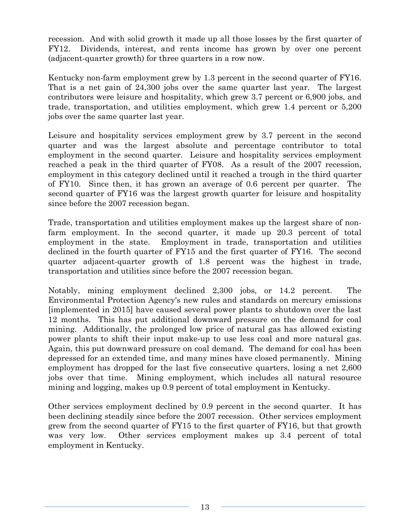recession. And with solid growth it made up all those losses by the first quarter of FY12. Dividends, interest, and rents income has grown by over one percent (adjacent-quarter growth) for three quarters in a row now.

Kentucky non-farm employment grew by 1.3 percent in the second quarter of FY16. That is a net gain of 24,300 jobs over the same quarter last year. The largest contributors were leisure and hospitality, which grew 3.7 percent or 6,900 jobs, and trade, transportation, and utilities employment, which grew 1.4 percent or 5,200 jobs over the same quarter last year.

Leisure and hospitality services employment grew by 3.7 percent in the second quarter and was the largest absolute and percentage contributor to total employment in the second quarter. Leisure and hospitality services employment reached a peak in the third quarter of FY08. As a result of the 2007 recession, employment in this category declined until it reached a trough in the third quarter of FY10. Since then, it has grown an average of 0.6 percent per quarter. The second quarter of FY16 was the largest growth quarter for leisure and hospitality since before the 2007 recession began.

Trade, transportation and utilities employment makes up the largest share of nonfarm employment. In the second quarter, it made up 20.3 percent of total employment in the state. Employment in trade, transportation and utilities declined in the fourth quarter of FY15 and the first quarter of FY16. The second quarter adjacent-quarter growth of 1.8 percent was the highest in trade, transportation and utilities since before the 2007 recession began.

Notably, mining employment declined 2,300 jobs, or 14.2 percent. The Environmental Protection Agency's new rules and standards on mercury emissions [implemented in 2015] have caused several power plants to shutdown over the last 12 months. This has put additional downward pressure on the demand for coal mining. Additionally, the prolonged low price of natural gas has allowed existing power plants to shift their input make-up to use less coal and more natural gas. Again, this put downward pressure on coal demand. The demand for coal has been depressed for an extended time, and many mines have closed permanently. Mining employment has dropped for the last five consecutive quarters, losing a net 2,600 jobs over that time. Mining employment, which includes all natural resource mining and logging, makes up 0.9 percent of total employment in Kentucky.

Other services employment declined by 0.9 percent in the second quarter. It has been declining steadily since before the 2007 recession. Other services employment grew from the second quarter of FY15 to the first quarter of FY16, but that growth was very low. Other services employment makes up 3.4 percent of total employment in Kentucky.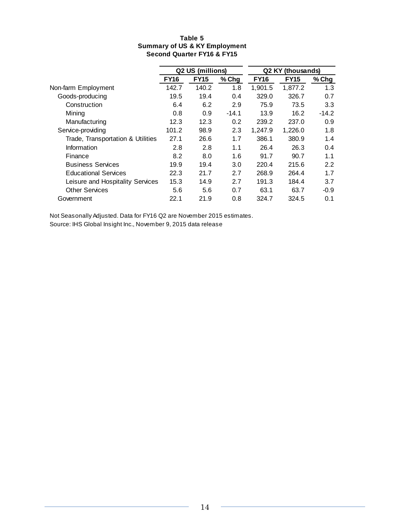#### **Table 5 Summary of US & KY Employment Second Quarter FY16 & FY15**

|                                   |             | Q2 US (millions) |         | Q2 KY       | (thousands) |         |
|-----------------------------------|-------------|------------------|---------|-------------|-------------|---------|
|                                   | <b>FY16</b> | <b>FY15</b>      | $%$ Chg | <b>FY16</b> | <b>FY15</b> | $%$ Chg |
| Non-farm Employment               | 142.7       | 140.2            | 1.8     | 1,901.5     | 1,877.2     | 1.3     |
| Goods-producing                   | 19.5        | 19.4             | 0.4     | 329.0       | 326.7       | 0.7     |
| Construction                      | 6.4         | 6.2              | 2.9     | 75.9        | 73.5        | 3.3     |
| Mining                            | 0.8         | 0.9              | $-14.1$ | 13.9        | 16.2        | $-14.2$ |
| Manufacturing                     | 12.3        | 12.3             | 0.2     | 239.2       | 237.0       | 0.9     |
| Service-providing                 | 101.2       | 98.9             | 2.3     | 1.247.9     | 1,226.0     | 1.8     |
| Trade, Transportation & Utilities | 27.1        | 26.6             | 1.7     | 386.1       | 380.9       | 1.4     |
| Information                       | 2.8         | 2.8              | 1.1     | 26.4        | 26.3        | 0.4     |
| Finance                           | 8.2         | 8.0              | 1.6     | 91.7        | 90.7        | 1.1     |
| <b>Business Services</b>          | 19.9        | 19.4             | 3.0     | 220.4       | 215.6       | 2.2     |
| <b>Educational Services</b>       | 22.3        | 21.7             | 2.7     | 268.9       | 264.4       | 1.7     |
| Leisure and Hospitality Services  | 15.3        | 14.9             | 2.7     | 191.3       | 184.4       | 3.7     |
| <b>Other Services</b>             | 5.6         | 5.6              | 0.7     | 63.1        | 63.7        | $-0.9$  |
| Government                        | 22.1        | 21.9             | 0.8     | 324.7       | 324.5       | 0.1     |

Not Seasonally Adjusted. Data for FY16 Q2 are November 2015 estimates.

Source: IHS Global Insight Inc., November 9, 2015 data release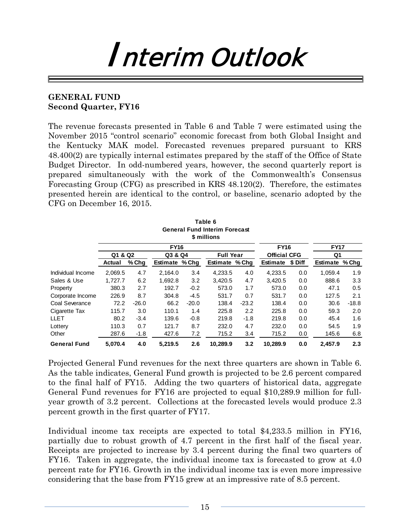# Interim Outlook

### **GENERAL FUND Second Quarter, FY16**

The revenue forecasts presented in Table 6 and Table 7 were estimated using the November 2015 "control scenario" economic forecast from both Global Insight and the Kentucky MAK model. Forecasted revenues prepared pursuant to KRS 48.400(2) are typically internal estimates prepared by the staff of the Office of State Budget Director. In odd-numbered years, however, the second quarterly report is prepared simultaneously with the work of the Commonwealth's Consensus Forecasting Group (CFG) as prescribed in KRS 48.120(2). Therefore, the estimates presented herein are identical to the control, or baseline, scenario adopted by the CFG on December 16, 2015.

|                     |         |         |                |         | Table 6                                             |         |                     |         |                 |         |
|---------------------|---------|---------|----------------|---------|-----------------------------------------------------|---------|---------------------|---------|-----------------|---------|
|                     |         |         |                |         | <b>General Fund Interim Forecast</b><br>\$ millions |         |                     |         |                 |         |
|                     |         |         | <b>FY16</b>    |         |                                                     |         | <b>FY16</b>         |         | <b>FY17</b>     |         |
|                     | Q1 & Q2 |         | Q3 & Q4        |         | <b>Full Year</b>                                    |         | <b>Official CFG</b> |         | Q1              |         |
|                     | Actual  | % Chg   | Estimate % Chg |         | Estimate % Chg                                      |         | Estimate            | \$ Diff | <b>Estimate</b> | % Chg   |
| Individual Income   | 2.069.5 | 4.7     | 2,164.0        | 3.4     | 4,233.5                                             | 4.0     | 4,233.5             | 0.0     | 1,059.4         | 1.9     |
| Sales & Use         | 1,727.7 | 6.2     | 1,692.8        | 3.2     | 3,420.5                                             | 4.7     | 3,420.5             | 0.0     | 888.6           | 3.3     |
| Property            | 380.3   | 2.7     | 192.7          | $-0.2$  | 573.0                                               | 1.7     | 573.0               | 0.0     | 47.1            | 0.5     |
| Corporate Income    | 226.9   | 8.7     | 304.8          | $-4.5$  | 531.7                                               | 0.7     | 531.7               | 0.0     | 127.5           | 2.1     |
| Coal Severance      | 72.2    | $-26.0$ | 66.2           | $-20.0$ | 138.4                                               | $-23.2$ | 138.4               | 0.0     | 30.6            | $-18.8$ |
| Cigarette Tax       | 115.7   | 3.0     | 110.1          | 1.4     | 225.8                                               | 2.2     | 225.8               | 0.0     | 59.3            | 2.0     |
| LLET                | 80.2    | $-3.4$  | 139.6          | $-0.8$  | 219.8                                               | $-1.8$  | 219.8               | 0.0     | 45.4            | 1.6     |
| Lottery             | 110.3   | 0.7     | 121.7          | 8.7     | 232.0                                               | 4.7     | 232.0               | 0.0     | 54.5            | 1.9     |
| Other               | 287.6   | $-1.8$  | 427.6          | 7.2     | 715.2                                               | 3.4     | 715.2               | 0.0     | 145.6           | 6.8     |
| <b>General Fund</b> | 5.070.4 | 4.0     | 5.219.5        | 2.6     | 10,289.9                                            | 3.2     | 10.289.9            | 0.0     | 2.457.9         | 2.3     |

Projected General Fund revenues for the next three quarters are shown in Table 6. As the table indicates, General Fund growth is projected to be 2.6 percent compared to the final half of FY15. Adding the two quarters of historical data, aggregate General Fund revenues for FY16 are projected to equal \$10,289.9 million for fullyear growth of 3.2 percent. Collections at the forecasted levels would produce 2.3 percent growth in the first quarter of FY17.

Individual income tax receipts are expected to total \$4,233.5 million in FY16, partially due to robust growth of 4.7 percent in the first half of the fiscal year. Receipts are projected to increase by 3.4 percent during the final two quarters of FY16. Taken in aggregate, the individual income tax is forecasted to grow at 4.0 percent rate for FY16. Growth in the individual income tax is even more impressive considering that the base from FY15 grew at an impressive rate of 8.5 percent.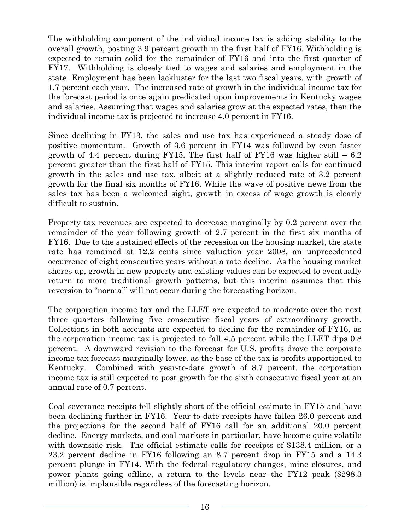The withholding component of the individual income tax is adding stability to the overall growth, posting 3.9 percent growth in the first half of FY16. Withholding is expected to remain solid for the remainder of FY16 and into the first quarter of FY17. Withholding is closely tied to wages and salaries and employment in the state. Employment has been lackluster for the last two fiscal years, with growth of 1.7 percent each year. The increased rate of growth in the individual income tax for the forecast period is once again predicated upon improvements in Kentucky wages and salaries. Assuming that wages and salaries grow at the expected rates, then the individual income tax is projected to increase 4.0 percent in FY16.

Since declining in FY13, the sales and use tax has experienced a steady dose of positive momentum. Growth of 3.6 percent in FY14 was followed by even faster growth of 4.4 percent during FY15. The first half of FY16 was higher still  $-6.2$ percent greater than the first half of FY15. This interim report calls for continued growth in the sales and use tax, albeit at a slightly reduced rate of 3.2 percent growth for the final six months of FY16. While the wave of positive news from the sales tax has been a welcomed sight, growth in excess of wage growth is clearly difficult to sustain.

Property tax revenues are expected to decrease marginally by 0.2 percent over the remainder of the year following growth of 2.7 percent in the first six months of FY16. Due to the sustained effects of the recession on the housing market, the state rate has remained at 12.2 cents since valuation year 2008, an unprecedented occurrence of eight consecutive years without a rate decline. As the housing market shores up, growth in new property and existing values can be expected to eventually return to more traditional growth patterns, but this interim assumes that this reversion to "normal" will not occur during the forecasting horizon.

The corporation income tax and the LLET are expected to moderate over the next three quarters following five consecutive fiscal years of extraordinary growth. Collections in both accounts are expected to decline for the remainder of FY16, as the corporation income tax is projected to fall 4.5 percent while the LLET dips 0.8 percent. A downward revision to the forecast for U.S. profits drove the corporate income tax forecast marginally lower, as the base of the tax is profits apportioned to Kentucky. Combined with year-to-date growth of 8.7 percent, the corporation income tax is still expected to post growth for the sixth consecutive fiscal year at an annual rate of 0.7 percent.

Coal severance receipts fell slightly short of the official estimate in FY15 and have been declining further in FY16. Year-to-date receipts have fallen 26.0 percent and the projections for the second half of FY16 call for an additional 20.0 percent decline. Energy markets, and coal markets in particular, have become quite volatile with downside risk. The official estimate calls for receipts of \$138.4 million, or a 23.2 percent decline in FY16 following an 8.7 percent drop in FY15 and a 14.3 percent plunge in FY14. With the federal regulatory changes, mine closures, and power plants going offline, a return to the levels near the FY12 peak (\$298.3 million) is implausible regardless of the forecasting horizon.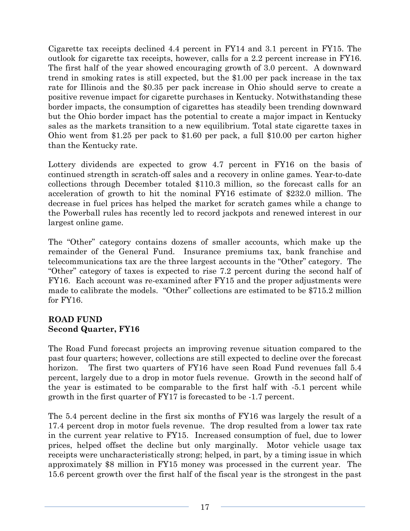Cigarette tax receipts declined 4.4 percent in FY14 and 3.1 percent in FY15. The outlook for cigarette tax receipts, however, calls for a 2.2 percent increase in FY16. The first half of the year showed encouraging growth of 3.0 percent. A downward trend in smoking rates is still expected, but the \$1.00 per pack increase in the tax rate for Illinois and the \$0.35 per pack increase in Ohio should serve to create a positive revenue impact for cigarette purchases in Kentucky. Notwithstanding these border impacts, the consumption of cigarettes has steadily been trending downward but the Ohio border impact has the potential to create a major impact in Kentucky sales as the markets transition to a new equilibrium. Total state cigarette taxes in Ohio went from \$1.25 per pack to \$1.60 per pack, a full \$10.00 per carton higher than the Kentucky rate.

Lottery dividends are expected to grow 4.7 percent in FY16 on the basis of continued strength in scratch-off sales and a recovery in online games. Year-to-date collections through December totaled \$110.3 million, so the forecast calls for an acceleration of growth to hit the nominal FY16 estimate of \$232.0 million. The decrease in fuel prices has helped the market for scratch games while a change to the Powerball rules has recently led to record jackpots and renewed interest in our largest online game.

The "Other" category contains dozens of smaller accounts, which make up the remainder of the General Fund. Insurance premiums tax, bank franchise and telecommunications tax are the three largest accounts in the "Other" category. The "Other" category of taxes is expected to rise 7.2 percent during the second half of FY16. Each account was re-examined after FY15 and the proper adjustments were made to calibrate the models. "Other" collections are estimated to be \$715.2 million for FY16.

## **ROAD FUND Second Quarter, FY16**

The Road Fund forecast projects an improving revenue situation compared to the past four quarters; however, collections are still expected to decline over the forecast horizon. The first two quarters of FY16 have seen Road Fund revenues fall 5.4 percent, largely due to a drop in motor fuels revenue. Growth in the second half of the year is estimated to be comparable to the first half with -5.1 percent while growth in the first quarter of FY17 is forecasted to be -1.7 percent.

The 5.4 percent decline in the first six months of FY16 was largely the result of a 17.4 percent drop in motor fuels revenue. The drop resulted from a lower tax rate in the current year relative to FY15. Increased consumption of fuel, due to lower prices, helped offset the decline but only marginally. Motor vehicle usage tax receipts were uncharacteristically strong; helped, in part, by a timing issue in which approximately \$8 million in FY15 money was processed in the current year. The 15.6 percent growth over the first half of the fiscal year is the strongest in the past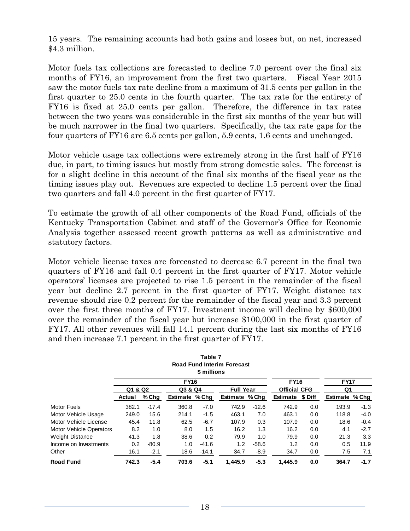15 years. The remaining accounts had both gains and losses but, on net, increased \$4.3 million.

Motor fuels tax collections are forecasted to decline 7.0 percent over the final six months of FY16, an improvement from the first two quarters. Fiscal Year 2015 saw the motor fuels tax rate decline from a maximum of 31.5 cents per gallon in the first quarter to 25.0 cents in the fourth quarter. The tax rate for the entirety of FY16 is fixed at 25.0 cents per gallon. Therefore, the difference in tax rates between the two years was considerable in the first six months of the year but will be much narrower in the final two quarters. Specifically, the tax rate gaps for the four quarters of FY16 are 6.5 cents per gallon, 5.9 cents, 1.6 cents and unchanged.

Motor vehicle usage tax collections were extremely strong in the first half of FY16 due, in part, to timing issues but mostly from strong domestic sales. The forecast is for a slight decline in this account of the final six months of the fiscal year as the timing issues play out. Revenues are expected to decline 1.5 percent over the final two quarters and fall 4.0 percent in the first quarter of FY17.

To estimate the growth of all other components of the Road Fund, officials of the Kentucky Transportation Cabinet and staff of the Governor's Office for Economic Analysis together assessed recent growth patterns as well as administrative and statutory factors.

Motor vehicle license taxes are forecasted to decrease 6.7 percent in the final two quarters of FY16 and fall 0.4 percent in the first quarter of FY17. Motor vehicle operators' licenses are projected to rise 1.5 percent in the remainder of the fiscal year but decline 2.7 percent in the first quarter of FY17. Weight distance tax revenue should rise 0.2 percent for the remainder of the fiscal year and 3.3 percent over the first three months of FY17. Investment income will decline by \$600,000 over the remainder of the fiscal year but increase \$100,000 in the first quarter of FY17. All other revenues will fall 14.1 percent during the last six months of FY16 and then increase 7.1 percent in the first quarter of FY17.

|                                |         |         |                | Table 7<br>\$ millions | <b>Road Fund Interim Forecast</b> |         |                     |         |                |        |
|--------------------------------|---------|---------|----------------|------------------------|-----------------------------------|---------|---------------------|---------|----------------|--------|
|                                |         |         | <b>FY16</b>    |                        |                                   |         | <b>FY16</b>         |         | <b>FY17</b>    |        |
|                                | Q1 & Q2 |         | Q3 & Q4        |                        | <b>Full Year</b>                  |         | <b>Official CFG</b> |         | Q <sub>1</sub> |        |
|                                | Actual  | % Chg   | Estimate % Chg |                        | Estimate % Chg                    |         | Estimate            | \$ Diff | Estimate % Chg |        |
| <b>Motor Fuels</b>             | 382.1   | $-17.4$ | 360.8          | $-7.0$                 | 742.9                             | $-12.6$ | 742.9               | 0.0     | 193.9          | $-1.3$ |
| Motor Vehicle Usage            | 249.0   | 15.6    | 214.1          | $-1.5$                 | 463.1                             | 7.0     | 463.1               | 0.0     | 118.8          | $-4.0$ |
| Motor Vehicle License          | 45.4    | 11.8    | 62.5           | $-6.7$                 | 107.9                             | 0.3     | 107.9               | 0.0     | 18.6           | $-0.4$ |
| <b>Motor Vehicle Operators</b> | 8.2     | 1.0     | 8.0            | 1.5                    | 16.2                              | 1.3     | 16.2                | 0.0     | 4.1            | $-2.7$ |
| Weight Distance                | 41.3    | 1.8     | 38.6           | 0.2                    | 79.9                              | 1.0     | 79.9                | 0.0     | 21.3           | 3.3    |
| Income on Investments          | 0.2     | $-80.9$ | 1.0            | $-41.6$                | 1.2                               | $-58.6$ | 1.2                 | 0.0     | 0.5            | 11.9   |
| Other                          | 16.1    | $-2.1$  | 18.6           | $-14.1$                | 34.7                              | $-8.9$  | 34.7                | 0.0     | 7.5            | 7.1    |
| <b>Road Fund</b>               | 742.3   | $-5.4$  | 703.6          | $-5.1$                 | 1.445.9                           | $-5.3$  | 1.445.9             | 0.0     | 364.7          | $-1.7$ |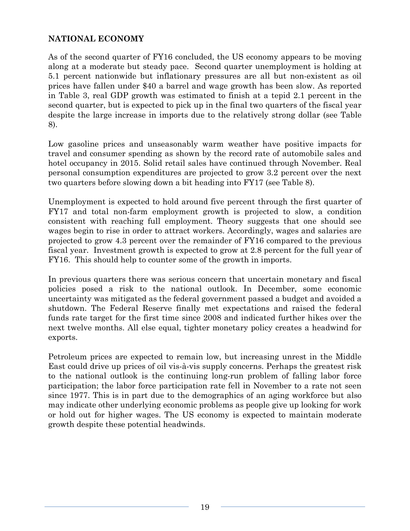## **NATIONAL ECONOMY**

As of the second quarter of FY16 concluded, the US economy appears to be moving along at a moderate but steady pace. Second quarter unemployment is holding at 5.1 percent nationwide but inflationary pressures are all but non-existent as oil prices have fallen under \$40 a barrel and wage growth has been slow. As reported in Table 3, real GDP growth was estimated to finish at a tepid 2.1 percent in the second quarter, but is expected to pick up in the final two quarters of the fiscal year despite the large increase in imports due to the relatively strong dollar (see Table 8).

Low gasoline prices and unseasonably warm weather have positive impacts for travel and consumer spending as shown by the record rate of automobile sales and hotel occupancy in 2015. Solid retail sales have continued through November. Real personal consumption expenditures are projected to grow 3.2 percent over the next two quarters before slowing down a bit heading into FY17 (see Table 8).

Unemployment is expected to hold around five percent through the first quarter of FY17 and total non-farm employment growth is projected to slow, a condition consistent with reaching full employment. Theory suggests that one should see wages begin to rise in order to attract workers. Accordingly, wages and salaries are projected to grow 4.3 percent over the remainder of FY16 compared to the previous fiscal year. Investment growth is expected to grow at 2.8 percent for the full year of FY16. This should help to counter some of the growth in imports.

In previous quarters there was serious concern that uncertain monetary and fiscal policies posed a risk to the national outlook. In December, some economic uncertainty was mitigated as the federal government passed a budget and avoided a shutdown. The Federal Reserve finally met expectations and raised the federal funds rate target for the first time since 2008 and indicated further hikes over the next twelve months. All else equal, tighter monetary policy creates a headwind for exports.

Petroleum prices are expected to remain low, but increasing unrest in the Middle East could drive up prices of oil vis-à-vis supply concerns. Perhaps the greatest risk to the national outlook is the continuing long-run problem of falling labor force participation; the labor force participation rate fell in November to a rate not seen since 1977. This is in part due to the demographics of an aging workforce but also may indicate other underlying economic problems as people give up looking for work or hold out for higher wages. The US economy is expected to maintain moderate growth despite these potential headwinds.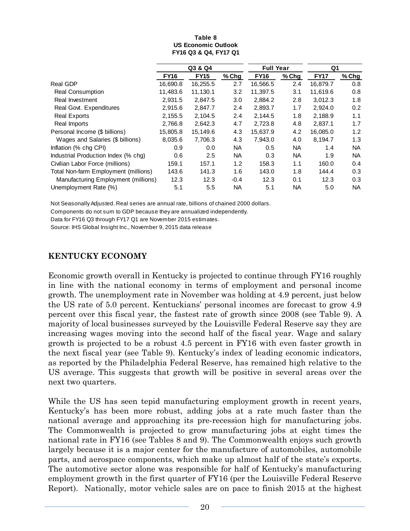| Table 8                    |
|----------------------------|
| <b>US Economic Outlook</b> |
| FY16 Q3 & Q4, FY17 Q1      |

|                                      | Q3 & Q4     |             |           | <b>Full Year</b> |           | Q1          |           |
|--------------------------------------|-------------|-------------|-----------|------------------|-----------|-------------|-----------|
|                                      | <b>FY16</b> | <b>FY15</b> | % Chg     | <b>FY16</b>      | $%$ Chg   | <b>FY17</b> | % Chg     |
| Real GDP                             | 16.690.8    | 16,255.5    | 2.7       | 16,566.5         | 2.4       | 16.879.7    | 0.8       |
| <b>Real Consumption</b>              | 11,483.6    | 11,130.1    | 3.2       | 11,397.5         | 3.1       | 11,619.6    | 0.8       |
| Real Investment                      | 2,931.5     | 2,847.5     | 3.0       | 2,884.2          | 2.8       | 3,012.3     | 1.8       |
| Real Govt. Expenditures              | 2,915.6     | 2.847.7     | 2.4       | 2,893.7          | 1.7       | 2.924.0     | 0.2       |
| <b>Real Exports</b>                  | 2,155.5     | 2,104.5     | 2.4       | 2,144.5          | 1.8       | 2,188.9     | 1.1       |
| Real Imports                         | 2,766.8     | 2,642.3     | 4.7       | 2,723.8          | 4.8       | 2,837.1     | 1.7       |
| Personal Income (\$ billions)        | 15,805.8    | 15.149.6    | 4.3       | 15.637.9         | 4.2       | 16,085.0    | 1.2       |
| Wages and Salaries (\$ billions)     | 8,035.6     | 7,706.3     | 4.3       | 7,943.0          | 4.0       | 8,194.7     | 1.3       |
| Inflation (% chg CPI)                | 0.9         | 0.0         | <b>NA</b> | 0.5              | <b>NA</b> | 1.4         | NA.       |
| Industrial Production Index (% chg)  | 0.6         | 2.5         | NA.       | 0.3              | <b>NA</b> | 1.9         | <b>NA</b> |
| Civilian Labor Force (millions)      | 159.1       | 157.1       | 1.2       | 158.3            | 1.1       | 160.0       | 0.4       |
| Total Non-farm Employment (millions) | 143.6       | 141.3       | 1.6       | 143.0            | 1.8       | 144.4       | 0.3       |
| Manufacturing Employment (millions)  | 12.3        | 12.3        | $-0.4$    | 12.3             | 0.1       | 12.3        | 0.3       |
| Unemployment Rate (%)                | 5.1         | 5.5         | NA        | 5.1              | <b>NA</b> | 5.0         | <b>NA</b> |

Not Seasonally Adjusted. Real series are annual rate, billions of chained 2000 dollars.

Components do not sum to GDP because they are annualized independently.

Data for FY16 Q3 through FY17 Q1 are November 2015 estimates.

Source: IHS Global Insight Inc., November 9, 2015 data release

# **KENTUCKY ECONOMY**

Economic growth overall in Kentucky is projected to continue through FY16 roughly in line with the national economy in terms of employment and personal income growth. The unemployment rate in November was holding at 4.9 percent, just below the US rate of 5.0 percent. Kentuckians' personal incomes are forecast to grow 4.9 percent over this fiscal year, the fastest rate of growth since 2008 (see Table 9). A majority of local businesses surveyed by the Louisville Federal Reserve say they are increasing wages moving into the second half of the fiscal year. Wage and salary growth is projected to be a robust 4.5 percent in FY16 with even faster growth in the next fiscal year (see Table 9). Kentucky's index of leading economic indicators, as reported by the Philadelphia Federal Reserve, has remained high relative to the US average. This suggests that growth will be positive in several areas over the next two quarters.

While the US has seen tepid manufacturing employment growth in recent years, Kentucky's has been more robust, adding jobs at a rate much faster than the national average and approaching its pre-recession high for manufacturing jobs. The Commonwealth is projected to grow manufacturing jobs at eight times the national rate in FY16 (see Tables 8 and 9). The Commonwealth enjoys such growth largely because it is a major center for the manufacture of automobiles, automobile parts, and aerospace components, which make up almost half of the state's exports. The automotive sector alone was responsible for half of Kentucky's manufacturing employment growth in the first quarter of FY16 (per the Louisville Federal Reserve Report). Nationally, motor vehicle sales are on pace to finish 2015 at the highest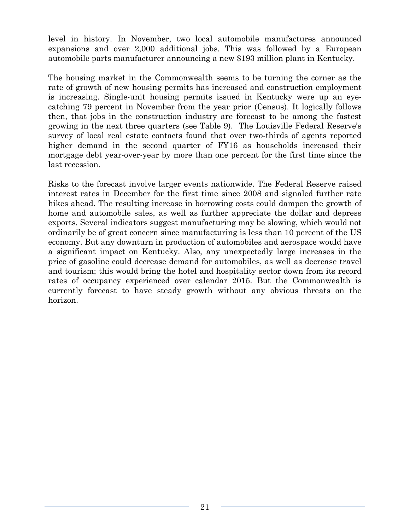level in history. In November, two local automobile manufactures announced expansions and over 2,000 additional jobs. This was followed by a European automobile parts manufacturer announcing a new \$193 million plant in Kentucky.

The housing market in the Commonwealth seems to be turning the corner as the rate of growth of new housing permits has increased and construction employment is increasing. Single-unit housing permits issued in Kentucky were up an eyecatching 79 percent in November from the year prior (Census). It logically follows then, that jobs in the construction industry are forecast to be among the fastest growing in the next three quarters (see Table 9). The Louisville Federal Reserve's survey of local real estate contacts found that over two-thirds of agents reported higher demand in the second quarter of FY16 as households increased their mortgage debt year-over-year by more than one percent for the first time since the last recession.

Risks to the forecast involve larger events nationwide. The Federal Reserve raised interest rates in December for the first time since 2008 and signaled further rate hikes ahead. The resulting increase in borrowing costs could dampen the growth of home and automobile sales, as well as further appreciate the dollar and depress exports. Several indicators suggest manufacturing may be slowing, which would not ordinarily be of great concern since manufacturing is less than 10 percent of the US economy. But any downturn in production of automobiles and aerospace would have a significant impact on Kentucky. Also, any unexpectedly large increases in the price of gasoline could decrease demand for automobiles, as well as decrease travel and tourism; this would bring the hotel and hospitality sector down from its record rates of occupancy experienced over calendar 2015. But the Commonwealth is currently forecast to have steady growth without any obvious threats on the horizon.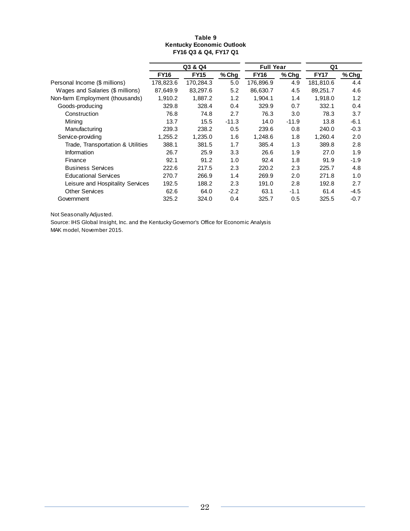#### **Table 9 Kentucky Economic Outlook FY16 Q3 & Q4, FY17 Q1**

|                                   | Q3 & Q4     |             |         | <b>Full Year</b> |         | Q1          |        |
|-----------------------------------|-------------|-------------|---------|------------------|---------|-------------|--------|
|                                   | <b>FY16</b> | <b>FY15</b> | $%$ Chg | <b>FY16</b>      | $%$ Chg | <b>FY17</b> | % Chg  |
| Personal Income (\$ millions)     | 178,823.6   | 170,284.3   | 5.0     | 176,896.9        | 4.9     | 181,810.6   | 4.4    |
| Wages and Salaries (\$ millions)  | 87,649.9    | 83,297.6    | 5.2     | 86.630.7         | 4.5     | 89,251.7    | 4.6    |
| Non-farm Employment (thousands)   | 1,910.2     | 1,887.2     | 1.2     | 1,904.1          | 1.4     | 1,918.0     | 1.2    |
| Goods-producing                   | 329.8       | 328.4       | 0.4     | 329.9            | 0.7     | 332.1       | 0.4    |
| Construction                      | 76.8        | 74.8        | 2.7     | 76.3             | 3.0     | 78.3        | 3.7    |
| Mining                            | 13.7        | 15.5        | $-11.3$ | 14.0             | $-11.9$ | 13.8        | $-6.1$ |
| Manufacturing                     | 239.3       | 238.2       | 0.5     | 239.6            | 0.8     | 240.0       | $-0.3$ |
| Service-providing                 | 1,255.2     | 1,235.0     | 1.6     | 1.248.6          | 1.8     | 1,260.4     | 2.0    |
| Trade, Transportation & Utilities | 388.1       | 381.5       | 1.7     | 385.4            | 1.3     | 389.8       | 2.8    |
| Information                       | 26.7        | 25.9        | 3.3     | 26.6             | 1.9     | 27.0        | 1.9    |
| Finance                           | 92.1        | 91.2        | 1.0     | 92.4             | 1.8     | 91.9        | -1.9   |
| <b>Business Services</b>          | 222.6       | 217.5       | 2.3     | 220.2            | 2.3     | 225.7       | 4.8    |
| <b>Educational Services</b>       | 270.7       | 266.9       | 1.4     | 269.9            | 2.0     | 271.8       | 1.0    |
| Leisure and Hospitality Services  | 192.5       | 188.2       | 2.3     | 191.0            | 2.8     | 192.8       | 2.7    |
| <b>Other Services</b>             | 62.6        | 64.0        | $-2.2$  | 63.1             | $-1.1$  | 61.4        | -4.5   |
| Government                        | 325.2       | 324.0       | 0.4     | 325.7            | 0.5     | 325.5       | $-0.7$ |

Not Seasonally Adjusted.

Source: IHS Global Insight, Inc. and the Kentucky Governor's Office for Economic Analysis MAK model, November 2015.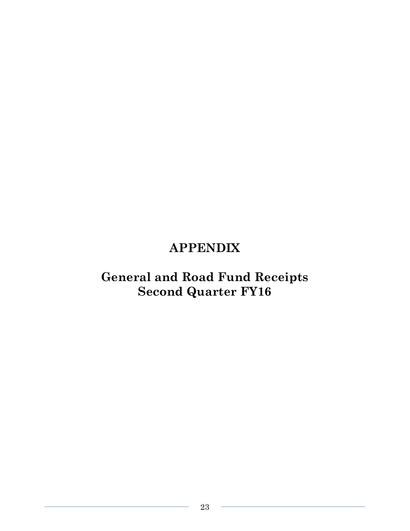# **APPENDIX**

# **General and Road Fund Receipts Second Quarter FY16**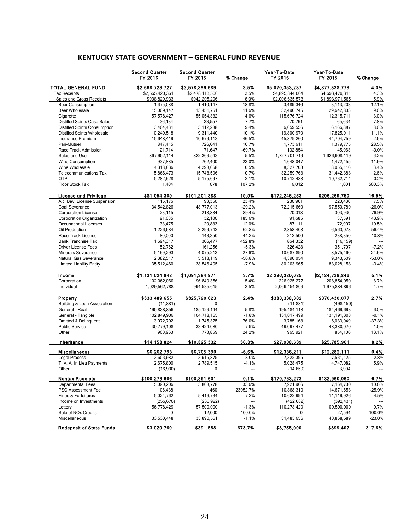|                                      | <b>Second Quarter</b><br>FY 2016 | <b>Second Quarter</b><br>FY 2015 | % Change       | Year-To-Date<br>FY 2016 | Year-To-Date<br>FY 2015 | % Change  |
|--------------------------------------|----------------------------------|----------------------------------|----------------|-------------------------|-------------------------|-----------|
| <b>TOTAL GENERAL FUND</b>            | \$2,668,723,727                  | \$2,578,896,689                  | 3.5%           | \$5,070,353,237         | \$4,877,338,778         | 4.0%      |
| <b>Tax Receipts</b>                  | \$2,565,420,361                  | \$2,478,113,500                  | 3.5%           | \$4,895,844,064         | \$4,693,479,311         | 4.3%      |
| Sales and Gross Receipts             | \$998,829,933                    | \$942,205,296                    | 6.0%           | \$2,006,635,573         | \$1,893,971,565         | 5.9%      |
| <b>Beer Consumption</b>              | 1,675,088                        | 1.410.147                        | 18.8%          | 3,489,346               | 3,113,203               | 12.1%     |
| <b>Beer Wholesale</b>                | 15,009,147                       | 13,451,751                       | 11.6%          | 32,496,745              | 29,642,833              | 9.6%      |
| Cigarette                            | 57,578,427                       | 55,054,332                       | 4.6%           | 115,676,724             | 112,315,711             | 3.0%      |
| <b>Distilled Spirits Case Sales</b>  | 36,134                           | 33,557                           | 7.7%           | 70,761                  | 65,634                  | 7.8%      |
| <b>Distilled Spirits Consumption</b> | 3,404,431                        | 3,112,288                        | 9.4%           | 6,659,556               | 6,166,887               | 8.0%      |
| <b>Distilled Spirits Wholesale</b>   | 10,249,518                       | 9,311,440                        | 10.1%          | 19,800,979              | 17,825,011              | 11.1%     |
| <b>Insurance Premium</b>             | 15,648,419                       | 10,679,113                       | 46.5%          | 45.879.260              | 44,704,759              | 2.6%      |
| Pari-Mutuel                          | 847,415                          | 726,041                          | 16.7%          | 1,773,611               | 1,379,775               | 28.5%     |
| Race Track Admission                 | 21,714                           | 71,647                           | $-69.7%$       | 132,854                 | 145,963                 | $-9.0%$   |
| Sales and Use                        | 867,952,114                      | 822,369,543                      | 5.5%           | 1,727,701,719           | 1,626,908,119           | 6.2%      |
| Wine Consumption                     | 937,885                          | 762,400                          | 23.0%          | 1,648,047               | 1,472,455               | 11.9%     |
| Wine Wholesale                       | 4,318,836                        | 4,298,068                        | 0.5%           | 8,327,708               | 8,055,116               | 3.4%      |
| <b>Telecommunications Tax</b>        | 15,866,473                       | 15,748,596                       | 0.7%           | 32,259,763              | 31,442,383              | 2.6%      |
| <b>OTP</b>                           | 5,282,928                        | 5,175,697                        | 2.1%           | 10,712,488              | 10,732,714              | $-0.2%$   |
| Floor Stock Tax                      | 1,404                            | 678                              | 107.2%         | 6,012                   | 1,001                   | 500.3%    |
| <b>License and Privilege</b>         | \$81,054,309                     | \$101,201,888                    | $-19.9%$       | \$172,245,253           | \$206,269,750           | $-16.5%$  |
| Alc. Bev. License Suspension         | 115,176                          | 93,350                           | 23.4%          | 236,901                 | 220,430                 | 7.5%      |
| Coal Severance                       | 34,542,826                       | 48,777,013                       | $-29.2%$       | 72,215,660              | 97,550,789              | $-26.0%$  |
| <b>Corporation License</b>           | 23,115                           | 218,884                          | $-89.4%$       | 70,318                  | 303,930                 | $-76.9%$  |
| Corporation Organization             | 91,685                           | 32,106                           | 185.6%         | 91,685                  | 37,591                  | 143.9%    |
| Occupational Licenses                | 33,475                           | 29,883                           | 12.0%          | 87,111                  | 72,907                  | 19.5%     |
| Oil Production                       | 1,226,684                        | 3,299,742                        | $-62.8%$       | 2,858,408               | 6,563,078               | $-56.4%$  |
| Race Track License                   | 80.000                           | 143,350                          | $-44.2%$       | 212,500                 | 238,350                 | $-10.8%$  |
| <b>Bank Franchise Tax</b>            | 1,694,317                        | 306,477                          | 452.8%         | 864,332                 | (16, 159)               |           |
| <b>Driver License Fees</b>           | 152,762                          | 161,256                          | $-5.3%$        | 326,428                 | 351,707                 | $-7.2%$   |
| <b>Minerals Severance</b>            | 5,199,293                        | 4,075,213                        | 27.6%          | 10,687,890              | 8,575,460               | 24.6%     |
| Natural Gas Severance                | 2,382,517                        | 5,518,119                        | $-56.8%$       | 4,390,054               | 9,343,509               | $-53.0%$  |
| <b>Limited Liability Entity</b>      | 35,512,460                       | 38,546,495                       | $-7.9%$        | 80,203,965              | 83,028,158              | $-3.4%$   |
| Income                               | \$1,131,624,848                  | \$1,091,384,971                  | 3.7%           | \$2,296,380,085         | \$2,184,739,846         | 5.1%      |
| Corporation                          | 102,062,060                      | 96,849,356                       | 5.4%           | 226,925,277             | 208,854,950             | 8.7%      |
| Individual                           | 1,029,562,788                    | 994,535,615                      | 3.5%           | 2,069,454,809           | 1,975,884,896           | 4.7%      |
| Property                             | \$333,489,655                    | \$325,790,623                    | 2.4%           | \$380,338,302           | \$370,430,077           | 2.7%      |
| Building & Loan Association          | (11, 881)                        | 0                                | $\overline{a}$ | (11, 881)               | (498, 150)              | ---       |
| General - Real                       | 195,838,856                      | 185, 129, 144                    | 5.8%           | 195,484,118             | 184,469,693             | 6.0%      |
| General - Tangible                   | 102,849,906                      | 104,718,165                      | $-1.8%$        | 131,017,499             | 131, 191, 308           | $-0.1%$   |
| Omitted & Delinquent                 | 3,072,702                        | 1,745,375                        | 76.0%          | 3,785,168               | 6,033,049               | $-37.3%$  |
| <b>Public Service</b>                | 30,779,108                       | 33,424,080                       | $-7.9%$        | 49,097,477              | 48,380,070              | 1.5%      |
| Other                                | 960,963                          | 773,859                          | 24.2%          | 965,921                 | 854,106                 | 13.1%     |
| Inheritance                          | \$14,158,824                     | \$10,825,332                     | 30.8%          | \$27,908,639            | \$25,785,961            | 8.2%      |
| <b>Miscellaneous</b>                 | \$6,262,793                      | \$6,705,390                      | -6.6%          | \$12,336,211            | \$12,282,111            | 0.4%      |
| <b>Legal Process</b>                 | 3,603,982                        | 3,915,875                        | $-8.0%$        | 7,322,395               | 7,531,125               | $-2.8%$   |
| T. V. A. In Lieu Payments            | 2,675,800                        | 2,789,515                        | $-4.1%$        | 5,028,475               | 4,747,082               | 5.9%      |
| Other                                | (16,990)                         | $\Omega$                         |                | (14, 659)               | 3,904                   |           |
| <b>Nontax Receipts</b>               | \$100,273,606                    | \$100,391,601                    | -0.1%          | \$170,753,273           | \$182,960,060           | -6.7%     |
| Departmental Fees                    | 5,090,206                        | 3,808,778                        | 33.6%          | 7,921,966               | 7,164,730               | 10.6%     |
| PSC Assessment Fee                   | 106,438                          | 460                              | 23052.7%       | 10,868,310              | 14,671,653              | -25.9%    |
| Fines & Forfeitures                  | 5,024,762                        | 5,416,734                        | $-7.2%$        | 10,622,994              | 11,119,926              | -4.5%     |
| Income on Investments                | (256, 676)                       | (236, 922)                       | ---            | (422, 082)              | (392, 431)              | ---       |
| Lottery                              | 56,778,429                       | 57,500,000                       | $-1.3%$        | 110,278,429             | 109,500,000             | 0.7%      |
| Sale of NO <sub>x</sub> Credits      | 0                                | 12,000                           | $-100.0%$      | 0                       | 27,594                  | $-100.0%$ |
| Miscellaneous                        | 33,530,448                       | 33,890,551                       | $-1.1%$        | 31,483,656              | 40,868,589              | $-23.0%$  |
| <b>Redeposit of State Funds</b>      | \$3,029,760                      | \$391,588                        | 673.7%         | \$3,755,900             | \$899,407               | 317.6%    |

### **KENTUCKY STATE GOVERNMENT – GENERAL FUND REVENUE**

 $\mathbb{R}^2$